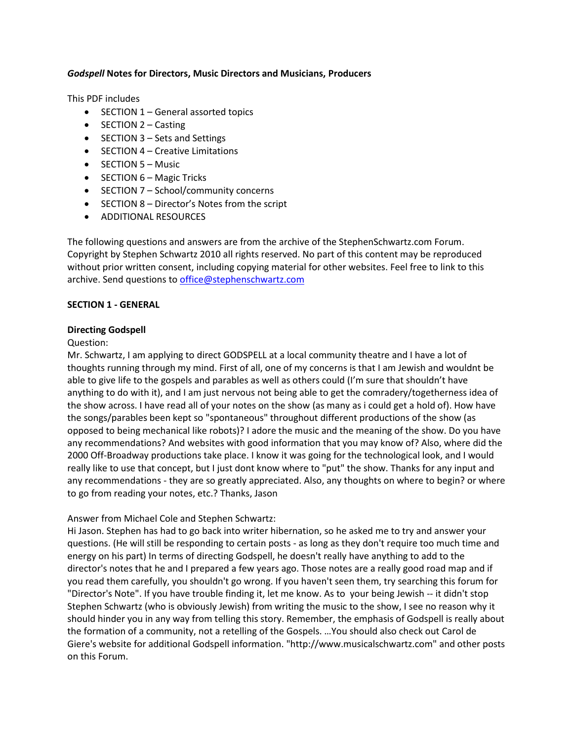#### *Godspell* **Notes for Directors, Music Directors and Musicians, Producers**

This PDF includes

- SECTION 1 General assorted topics
- $\bullet$  SECTION 2 Casting
- SECTION 3 Sets and Settings
- $\bullet$  SECTION 4 Creative Limitations
- $\bullet$  SECTION 5 Music
- $\bullet$  SECTION  $6$  Magic Tricks
- SECTION 7 School/community concerns
- SECTION 8 Director's Notes from the script
- ADDITIONAL RESOURCES

The following questions and answers are from the archive of the StephenSchwartz.com Forum. Copyright by Stephen Schwartz 2010 all rights reserved. No part of this content may be reproduced without prior written consent, including copying material for other websites. Feel free to link to this archive. Send questions to [office@stephenschwartz.com](mailto:office@stephenschwartz.com)

#### **SECTION 1 - GENERAL**

#### **Directing Godspell**

#### Question:

Mr. Schwartz, I am applying to direct GODSPELL at a local community theatre and I have a lot of thoughts running through my mind. First of all, one of my concerns is that I am Jewish and wouldnt be able to give life to the gospels and parables as well as others could (I'm sure that shouldn't have anything to do with it), and I am just nervous not being able to get the comradery/togetherness idea of the show across. I have read all of your notes on the show (as many as i could get a hold of). How have the songs/parables been kept so "spontaneous" throughout different productions of the show (as opposed to being mechanical like robots)? I adore the music and the meaning of the show. Do you have any recommendations? And websites with good information that you may know of? Also, where did the 2000 Off-Broadway productions take place. I know it was going for the technological look, and I would really like to use that concept, but I just dont know where to "put" the show. Thanks for any input and any recommendations - they are so greatly appreciated. Also, any thoughts on where to begin? or where to go from reading your notes, etc.? Thanks, Jason

#### Answer from Michael Cole and Stephen Schwartz:

Hi Jason. Stephen has had to go back into writer hibernation, so he asked me to try and answer your questions. (He will still be responding to certain posts - as long as they don't require too much time and energy on his part) In terms of directing Godspell, he doesn't really have anything to add to the director's notes that he and I prepared a few years ago. Those notes are a really good road map and if you read them carefully, you shouldn't go wrong. If you haven't seen them, try searching this forum for "Director's Note". If you have trouble finding it, let me know. As to your being Jewish -- it didn't stop Stephen Schwartz (who is obviously Jewish) from writing the music to the show, I see no reason why it should hinder you in any way from telling this story. Remember, the emphasis of Godspell is really about the formation of a community, not a retelling of the Gospels. …You should also check out Carol de Giere's website for additional Godspell information. "http://www.musicalschwartz.com" and other posts on this Forum.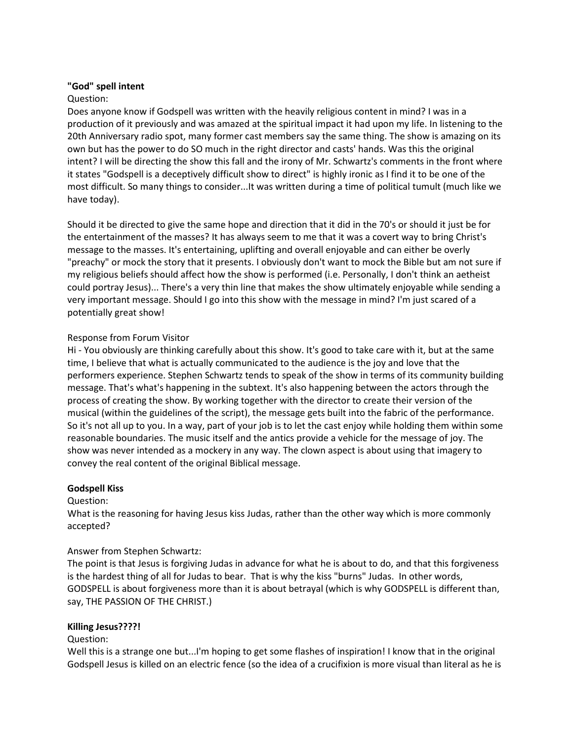#### **"God" spell intent**

#### Question:

Does anyone know if Godspell was written with the heavily religious content in mind? I was in a production of it previously and was amazed at the spiritual impact it had upon my life. In listening to the 20th Anniversary radio spot, many former cast members say the same thing. The show is amazing on its own but has the power to do SO much in the right director and casts' hands. Was this the original intent? I will be directing the show this fall and the irony of Mr. Schwartz's comments in the front where it states "Godspell is a deceptively difficult show to direct" is highly ironic as I find it to be one of the most difficult. So many things to consider...It was written during a time of political tumult (much like we have today).

Should it be directed to give the same hope and direction that it did in the 70's or should it just be for the entertainment of the masses? It has always seem to me that it was a covert way to bring Christ's message to the masses. It's entertaining, uplifting and overall enjoyable and can either be overly "preachy" or mock the story that it presents. I obviously don't want to mock the Bible but am not sure if my religious beliefs should affect how the show is performed (i.e. Personally, I don't think an aetheist could portray Jesus)... There's a very thin line that makes the show ultimately enjoyable while sending a very important message. Should I go into this show with the message in mind? I'm just scared of a potentially great show!

### Response from Forum Visitor

Hi - You obviously are thinking carefully about this show. It's good to take care with it, but at the same time, I believe that what is actually communicated to the audience is the joy and love that the performers experience. Stephen Schwartz tends to speak of the show in terms of its community building message. That's what's happening in the subtext. It's also happening between the actors through the process of creating the show. By working together with the director to create their version of the musical (within the guidelines of the script), the message gets built into the fabric of the performance. So it's not all up to you. In a way, part of your job is to let the cast enjoy while holding them within some reasonable boundaries. The music itself and the antics provide a vehicle for the message of joy. The show was never intended as a mockery in any way. The clown aspect is about using that imagery to convey the real content of the original Biblical message.

### **Godspell Kiss**

### Question:

What is the reasoning for having Jesus kiss Judas, rather than the other way which is more commonly accepted?

### Answer from Stephen Schwartz:

The point is that Jesus is forgiving Judas in advance for what he is about to do, and that this forgiveness is the hardest thing of all for Judas to bear. That is why the kiss "burns" Judas. In other words, GODSPELL is about forgiveness more than it is about betrayal (which is why GODSPELL is different than, say, THE PASSION OF THE CHRIST.)

#### **Killing Jesus????!**

### Question:

Well this is a strange one but...I'm hoping to get some flashes of inspiration! I know that in the original Godspell Jesus is killed on an electric fence (so the idea of a crucifixion is more visual than literal as he is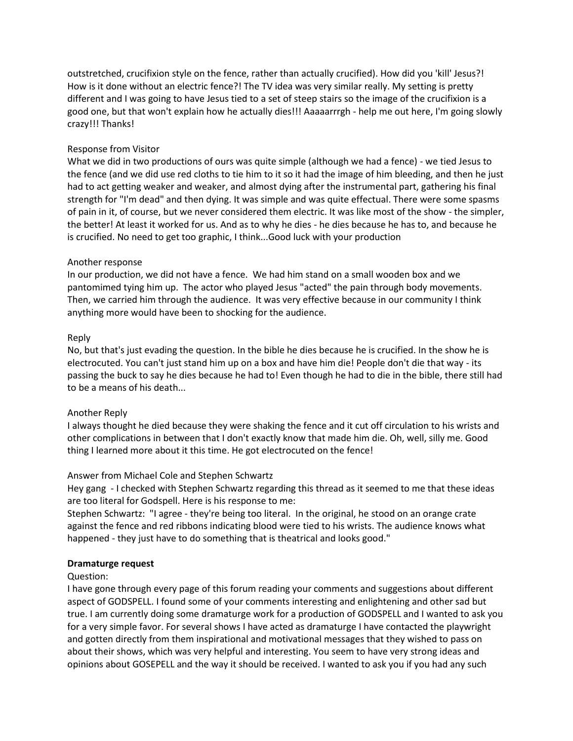outstretched, crucifixion style on the fence, rather than actually crucified). How did you 'kill' Jesus?! How is it done without an electric fence?! The TV idea was very similar really. My setting is pretty different and I was going to have Jesus tied to a set of steep stairs so the image of the crucifixion is a good one, but that won't explain how he actually dies!!! Aaaaarrrgh - help me out here, I'm going slowly crazy!!! Thanks!

### Response from Visitor

What we did in two productions of ours was quite simple (although we had a fence) - we tied Jesus to the fence (and we did use red cloths to tie him to it so it had the image of him bleeding, and then he just had to act getting weaker and weaker, and almost dying after the instrumental part, gathering his final strength for "I'm dead" and then dying. It was simple and was quite effectual. There were some spasms of pain in it, of course, but we never considered them electric. It was like most of the show - the simpler, the better! At least it worked for us. And as to why he dies - he dies because he has to, and because he is crucified. No need to get too graphic, I think...Good luck with your production

# Another response

In our production, we did not have a fence. We had him stand on a small wooden box and we pantomimed tying him up. The actor who played Jesus "acted" the pain through body movements. Then, we carried him through the audience. It was very effective because in our community I think anything more would have been to shocking for the audience.

# Reply

No, but that's just evading the question. In the bible he dies because he is crucified. In the show he is electrocuted. You can't just stand him up on a box and have him die! People don't die that way - its passing the buck to say he dies because he had to! Even though he had to die in the bible, there still had to be a means of his death...

### Another Reply

I always thought he died because they were shaking the fence and it cut off circulation to his wrists and other complications in between that I don't exactly know that made him die. Oh, well, silly me. Good thing I learned more about it this time. He got electrocuted on the fence!

# Answer from Michael Cole and Stephen Schwartz

Hey gang - I checked with Stephen Schwartz regarding this thread as it seemed to me that these ideas are too literal for Godspell. Here is his response to me:

Stephen Schwartz: "I agree - they're being too literal. In the original, he stood on an orange crate against the fence and red ribbons indicating blood were tied to his wrists. The audience knows what happened - they just have to do something that is theatrical and looks good."

### **Dramaturge request**

### Question:

I have gone through every page of this forum reading your comments and suggestions about different aspect of GODSPELL. I found some of your comments interesting and enlightening and other sad but true. I am currently doing some dramaturge work for a production of GODSPELL and I wanted to ask you for a very simple favor. For several shows I have acted as dramaturge I have contacted the playwright and gotten directly from them inspirational and motivational messages that they wished to pass on about their shows, which was very helpful and interesting. You seem to have very strong ideas and opinions about GOSEPELL and the way it should be received. I wanted to ask you if you had any such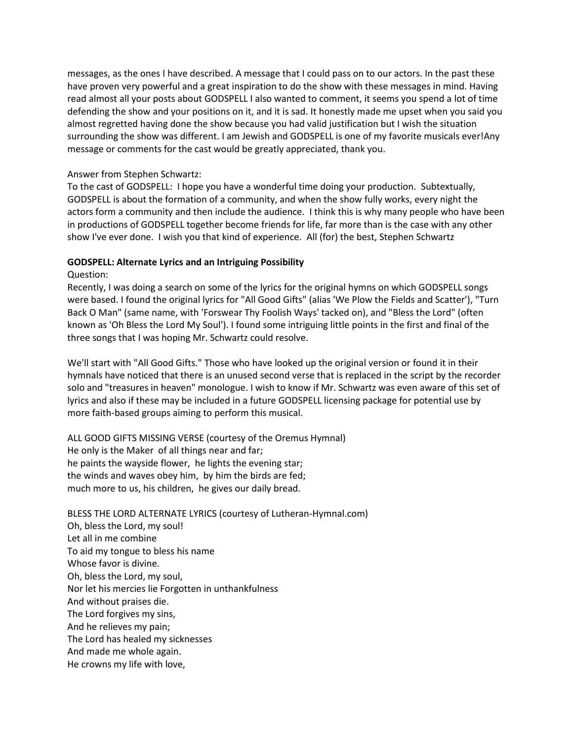messages, as the ones I have described. A message that I could pass on to our actors. In the past these have proven very powerful and a great inspiration to do the show with these messages in mind. Having read almost all your posts about GODSPELL I also wanted to comment, it seems you spend a lot of time defending the show and your positions on it, and it is sad. It honestly made me upset when you said you almost regretted having done the show because you had valid justification but I wish the situation surrounding the show was different. I am Jewish and GODSPELL is one of my favorite musicals ever!Any message or comments for the cast would be greatly appreciated, thank you.

#### Answer from Stephen Schwartz:

To the cast of GODSPELL: I hope you have a wonderful time doing your production. Subtextually, GODSPELL is about the formation of a community, and when the show fully works, every night the actors form a community and then include the audience. I think this is why many people who have been in productions of GODSPELL together become friends for life, far more than is the case with any other show I've ever done. I wish you that kind of experience. All (for) the best, Stephen Schwartz

#### **GODSPELL: Alternate Lyrics and an Intriguing Possibility**

#### Question:

Recently, I was doing a search on some of the lyrics for the original hymns on which GODSPELL songs were based. I found the original lyrics for "All Good Gifts" (alias 'We Plow the Fields and Scatter'), "Turn Back O Man" (same name, with 'Forswear Thy Foolish Ways' tacked on), and "Bless the Lord" (often known as 'Oh Bless the Lord My Soul'). I found some intriguing little points in the first and final of the three songs that I was hoping Mr. Schwartz could resolve.

We'll start with "All Good Gifts." Those who have looked up the original version or found it in their hymnals have noticed that there is an unused second verse that is replaced in the script by the recorder solo and "treasures in heaven" monologue. I wish to know if Mr. Schwartz was even aware of this set of lyrics and also if these may be included in a future GODSPELL licensing package for potential use by more faith-based groups aiming to perform this musical.

ALL GOOD GIFTS MISSING VERSE (courtesy of the Oremus Hymnal) He only is the Maker of all things near and far; he paints the wayside flower, he lights the evening star; the winds and waves obey him, by him the birds are fed; much more to us, his children, he gives our daily bread.

BLESS THE LORD ALTERNATE LYRICS (courtesy of Lutheran-Hymnal.com) Oh, bless the Lord, my soul! Let all in me combine To aid my tongue to bless his name Whose favor is divine. Oh, bless the Lord, my soul, Nor let his mercies lie Forgotten in unthankfulness And without praises die. The Lord forgives my sins, And he relieves my pain; The Lord has healed my sicknesses And made me whole again. He crowns my life with love,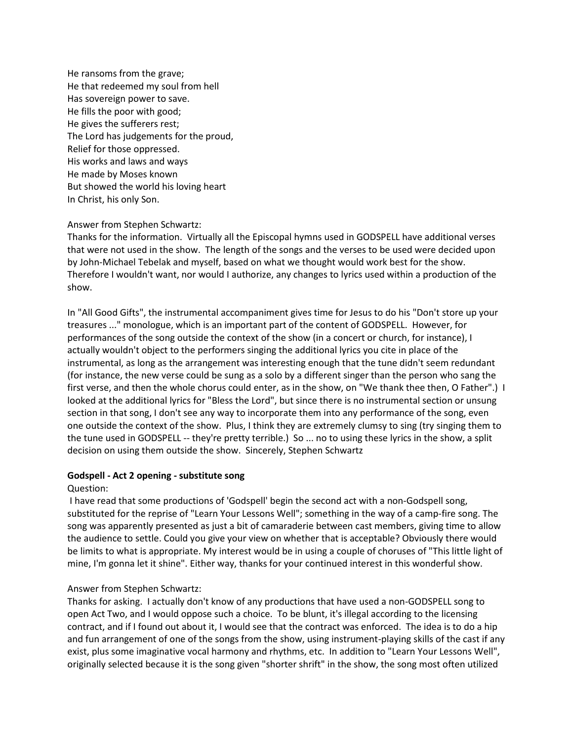He ransoms from the grave; He that redeemed my soul from hell Has sovereign power to save. He fills the poor with good; He gives the sufferers rest; The Lord has judgements for the proud, Relief for those oppressed. His works and laws and ways He made by Moses known But showed the world his loving heart In Christ, his only Son.

### Answer from Stephen Schwartz:

Thanks for the information. Virtually all the Episcopal hymns used in GODSPELL have additional verses that were not used in the show. The length of the songs and the verses to be used were decided upon by John-Michael Tebelak and myself, based on what we thought would work best for the show. Therefore I wouldn't want, nor would I authorize, any changes to lyrics used within a production of the show.

In "All Good Gifts", the instrumental accompaniment gives time for Jesus to do his "Don't store up your treasures ..." monologue, which is an important part of the content of GODSPELL. However, for performances of the song outside the context of the show (in a concert or church, for instance), I actually wouldn't object to the performers singing the additional lyrics you cite in place of the instrumental, as long as the arrangement was interesting enough that the tune didn't seem redundant (for instance, the new verse could be sung as a solo by a different singer than the person who sang the first verse, and then the whole chorus could enter, as in the show, on "We thank thee then, O Father".) I looked at the additional lyrics for "Bless the Lord", but since there is no instrumental section or unsung section in that song, I don't see any way to incorporate them into any performance of the song, even one outside the context of the show. Plus, I think they are extremely clumsy to sing (try singing them to the tune used in GODSPELL -- they're pretty terrible.) So ... no to using these lyrics in the show, a split decision on using them outside the show. Sincerely, Stephen Schwartz

#### **Godspell - Act 2 opening - substitute song**

#### Question:

I have read that some productions of 'Godspell' begin the second act with a non-Godspell song, substituted for the reprise of "Learn Your Lessons Well"; something in the way of a camp-fire song. The song was apparently presented as just a bit of camaraderie between cast members, giving time to allow the audience to settle. Could you give your view on whether that is acceptable? Obviously there would be limits to what is appropriate. My interest would be in using a couple of choruses of "This little light of mine, I'm gonna let it shine". Either way, thanks for your continued interest in this wonderful show.

### Answer from Stephen Schwartz:

Thanks for asking. I actually don't know of any productions that have used a non-GODSPELL song to open Act Two, and I would oppose such a choice. To be blunt, it's illegal according to the licensing contract, and if I found out about it, I would see that the contract was enforced. The idea is to do a hip and fun arrangement of one of the songs from the show, using instrument-playing skills of the cast if any exist, plus some imaginative vocal harmony and rhythms, etc. In addition to "Learn Your Lessons Well", originally selected because it is the song given "shorter shrift" in the show, the song most often utilized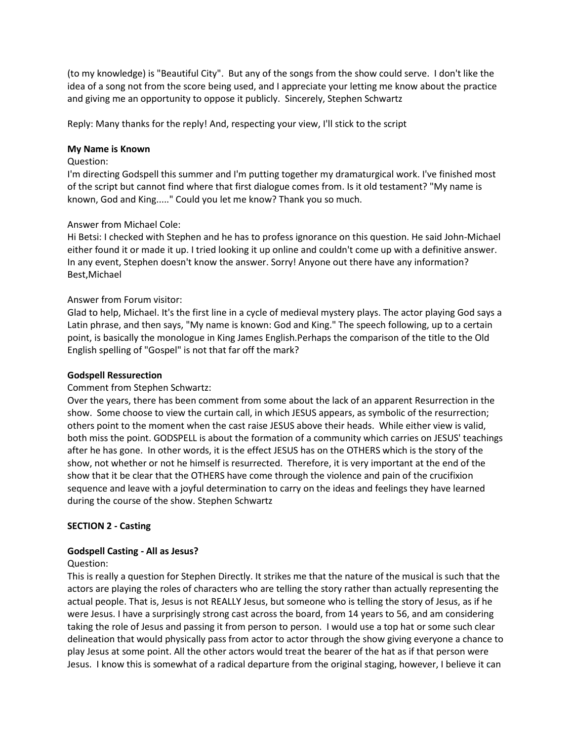(to my knowledge) is "Beautiful City". But any of the songs from the show could serve. I don't like the idea of a song not from the score being used, and I appreciate your letting me know about the practice and giving me an opportunity to oppose it publicly. Sincerely, Stephen Schwartz

Reply: Many thanks for the reply! And, respecting your view, I'll stick to the script

#### **My Name is Known**

#### Question:

I'm directing Godspell this summer and I'm putting together my dramaturgical work. I've finished most of the script but cannot find where that first dialogue comes from. Is it old testament? "My name is known, God and King....." Could you let me know? Thank you so much.

### Answer from Michael Cole:

Hi Betsi: I checked with Stephen and he has to profess ignorance on this question. He said John-Michael either found it or made it up. I tried looking it up online and couldn't come up with a definitive answer. In any event, Stephen doesn't know the answer. Sorry! Anyone out there have any information? Best,Michael

### Answer from Forum visitor:

Glad to help, Michael. It's the first line in a cycle of medieval mystery plays. The actor playing God says a Latin phrase, and then says, "My name is known: God and King." The speech following, up to a certain point, is basically the monologue in King James English.Perhaps the comparison of the title to the Old English spelling of "Gospel" is not that far off the mark?

#### **Godspell Ressurection**

### Comment from Stephen Schwartz:

Over the years, there has been comment from some about the lack of an apparent Resurrection in the show. Some choose to view the curtain call, in which JESUS appears, as symbolic of the resurrection; others point to the moment when the cast raise JESUS above their heads. While either view is valid, both miss the point. GODSPELL is about the formation of a community which carries on JESUS' teachings after he has gone. In other words, it is the effect JESUS has on the OTHERS which is the story of the show, not whether or not he himself is resurrected. Therefore, it is very important at the end of the show that it be clear that the OTHERS have come through the violence and pain of the crucifixion sequence and leave with a joyful determination to carry on the ideas and feelings they have learned during the course of the show. Stephen Schwartz

### **SECTION 2 - Casting**

#### **Godspell Casting - All as Jesus?**

### Question:

This is really a question for Stephen Directly. It strikes me that the nature of the musical is such that the actors are playing the roles of characters who are telling the story rather than actually representing the actual people. That is, Jesus is not REALLY Jesus, but someone who is telling the story of Jesus, as if he were Jesus. I have a surprisingly strong cast across the board, from 14 years to 56, and am considering taking the role of Jesus and passing it from person to person. I would use a top hat or some such clear delineation that would physically pass from actor to actor through the show giving everyone a chance to play Jesus at some point. All the other actors would treat the bearer of the hat as if that person were Jesus. I know this is somewhat of a radical departure from the original staging, however, I believe it can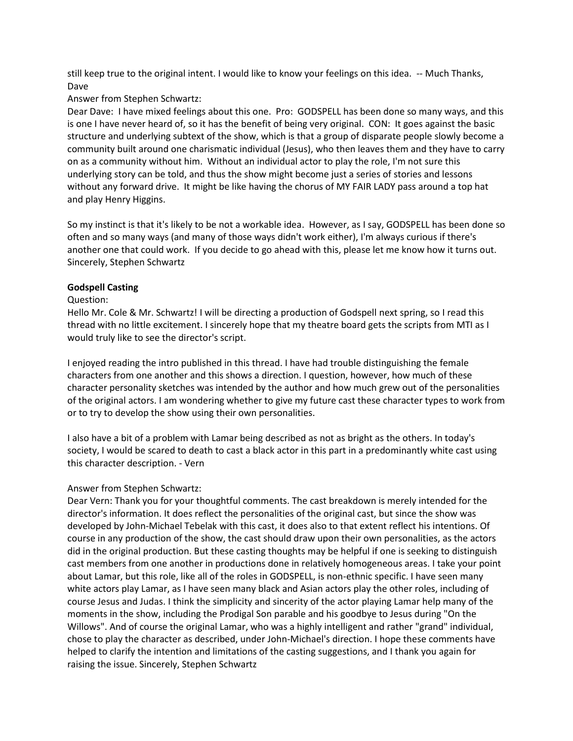still keep true to the original intent. I would like to know your feelings on this idea. -- Much Thanks, Dave

#### Answer from Stephen Schwartz:

Dear Dave: I have mixed feelings about this one. Pro: GODSPELL has been done so many ways, and this is one I have never heard of, so it has the benefit of being very original. CON: It goes against the basic structure and underlying subtext of the show, which is that a group of disparate people slowly become a community built around one charismatic individual (Jesus), who then leaves them and they have to carry on as a community without him. Without an individual actor to play the role, I'm not sure this underlying story can be told, and thus the show might become just a series of stories and lessons without any forward drive. It might be like having the chorus of MY FAIR LADY pass around a top hat and play Henry Higgins.

So my instinct is that it's likely to be not a workable idea. However, as I say, GODSPELL has been done so often and so many ways (and many of those ways didn't work either), I'm always curious if there's another one that could work. If you decide to go ahead with this, please let me know how it turns out. Sincerely, Stephen Schwartz

#### **Godspell Casting**

#### Question:

Hello Mr. Cole & Mr. Schwartz! I will be directing a production of Godspell next spring, so I read this thread with no little excitement. I sincerely hope that my theatre board gets the scripts from MTI as I would truly like to see the director's script.

I enjoyed reading the intro published in this thread. I have had trouble distinguishing the female characters from one another and this shows a direction. I question, however, how much of these character personality sketches was intended by the author and how much grew out of the personalities of the original actors. I am wondering whether to give my future cast these character types to work from or to try to develop the show using their own personalities.

I also have a bit of a problem with Lamar being described as not as bright as the others. In today's society, I would be scared to death to cast a black actor in this part in a predominantly white cast using this character description. - Vern

### Answer from Stephen Schwartz:

Dear Vern: Thank you for your thoughtful comments. The cast breakdown is merely intended for the director's information. It does reflect the personalities of the original cast, but since the show was developed by John-Michael Tebelak with this cast, it does also to that extent reflect his intentions. Of course in any production of the show, the cast should draw upon their own personalities, as the actors did in the original production. But these casting thoughts may be helpful if one is seeking to distinguish cast members from one another in productions done in relatively homogeneous areas. I take your point about Lamar, but this role, like all of the roles in GODSPELL, is non-ethnic specific. I have seen many white actors play Lamar, as I have seen many black and Asian actors play the other roles, including of course Jesus and Judas. I think the simplicity and sincerity of the actor playing Lamar help many of the moments in the show, including the Prodigal Son parable and his goodbye to Jesus during "On the Willows". And of course the original Lamar, who was a highly intelligent and rather "grand" individual, chose to play the character as described, under John-Michael's direction. I hope these comments have helped to clarify the intention and limitations of the casting suggestions, and I thank you again for raising the issue. Sincerely, Stephen Schwartz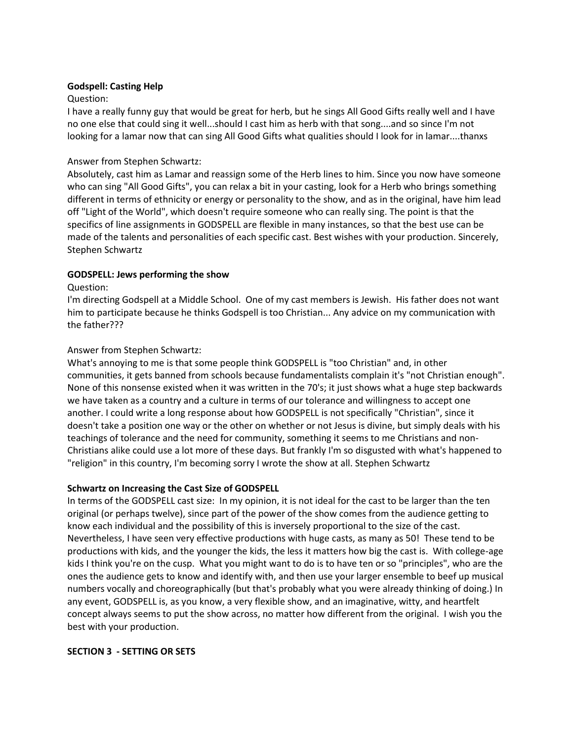#### **Godspell: Casting Help**

#### Question:

I have a really funny guy that would be great for herb, but he sings All Good Gifts really well and I have no one else that could sing it well...should I cast him as herb with that song....and so since I'm not looking for a lamar now that can sing All Good Gifts what qualities should I look for in lamar....thanxs

### Answer from Stephen Schwartz:

Absolutely, cast him as Lamar and reassign some of the Herb lines to him. Since you now have someone who can sing "All Good Gifts", you can relax a bit in your casting, look for a Herb who brings something different in terms of ethnicity or energy or personality to the show, and as in the original, have him lead off "Light of the World", which doesn't require someone who can really sing. The point is that the specifics of line assignments in GODSPELL are flexible in many instances, so that the best use can be made of the talents and personalities of each specific cast. Best wishes with your production. Sincerely, Stephen Schwartz

### **GODSPELL: Jews performing the show**

#### Question:

I'm directing Godspell at a Middle School. One of my cast members is Jewish. His father does not want him to participate because he thinks Godspell is too Christian... Any advice on my communication with the father???

### Answer from Stephen Schwartz:

What's annoying to me is that some people think GODSPELL is "too Christian" and, in other communities, it gets banned from schools because fundamentalists complain it's "not Christian enough". None of this nonsense existed when it was written in the 70's; it just shows what a huge step backwards we have taken as a country and a culture in terms of our tolerance and willingness to accept one another. I could write a long response about how GODSPELL is not specifically "Christian", since it doesn't take a position one way or the other on whether or not Jesus is divine, but simply deals with his teachings of tolerance and the need for community, something it seems to me Christians and non-Christians alike could use a lot more of these days. But frankly I'm so disgusted with what's happened to "religion" in this country, I'm becoming sorry I wrote the show at all. Stephen Schwartz

### **Schwartz on Increasing the Cast Size of GODSPELL**

In terms of the GODSPELL cast size: In my opinion, it is not ideal for the cast to be larger than the ten original (or perhaps twelve), since part of the power of the show comes from the audience getting to know each individual and the possibility of this is inversely proportional to the size of the cast. Nevertheless, I have seen very effective productions with huge casts, as many as 50! These tend to be productions with kids, and the younger the kids, the less it matters how big the cast is. With college-age kids I think you're on the cusp. What you might want to do is to have ten or so "principles", who are the ones the audience gets to know and identify with, and then use your larger ensemble to beef up musical numbers vocally and choreographically (but that's probably what you were already thinking of doing.) In any event, GODSPELL is, as you know, a very flexible show, and an imaginative, witty, and heartfelt concept always seems to put the show across, no matter how different from the original. I wish you the best with your production.

#### **SECTION 3 - SETTING OR SETS**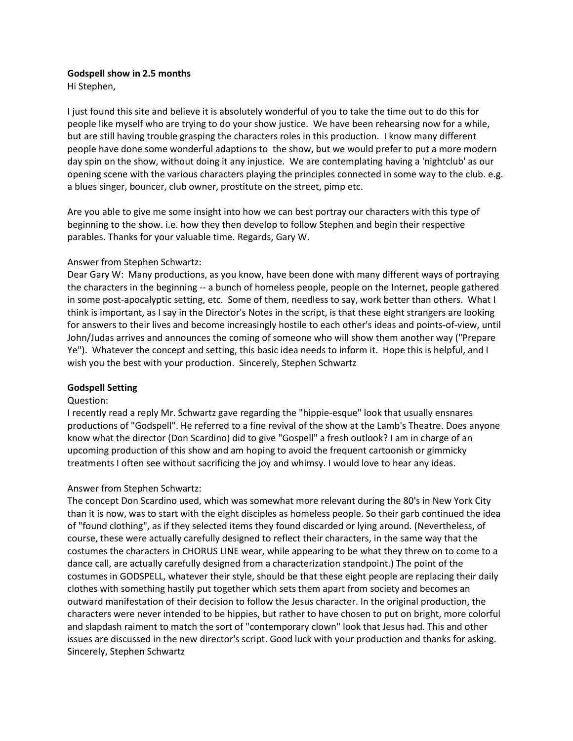### **Godspell show in 2.5 months**

Hi Stephen,

I just found this site and believe it is absolutely wonderful of you to take the time out to do this for people like myself who are trying to do your show justice. We have been rehearsing now for a while, but are still having trouble grasping the characters roles in this production. I know many different people have done some wonderful adaptions to the show, but we would prefer to put a more modern day spin on the show, without doing it any injustice. We are contemplating having a 'nightclub' as our opening scene with the various characters playing the principles connected in some way to the club. e.g. a blues singer, bouncer, club owner, prostitute on the street, pimp etc.

Are you able to give me some insight into how we can best portray our characters with this type of beginning to the show. i.e. how they then develop to follow Stephen and begin their respective parables. Thanks for your valuable time. Regards, Gary W.

### Answer from Stephen Schwartz:

Dear Gary W: Many productions, as you know, have been done with many different ways of portraying the characters in the beginning -- a bunch of homeless people, people on the Internet, people gathered in some post-apocalyptic setting, etc. Some of them, needless to say, work better than others. What I think is important, as I say in the Director's Notes in the script, is that these eight strangers are looking for answers to their lives and become increasingly hostile to each other's ideas and points-of-view, until John/Judas arrives and announces the coming of someone who will show them another way ("Prepare Ye"). Whatever the concept and setting, this basic idea needs to inform it. Hope this is helpful, and I wish you the best with your production. Sincerely, Stephen Schwartz

### **Godspell Setting**

#### Question:

I recently read a reply Mr. Schwartz gave regarding the "hippie-esque" look that usually ensnares productions of "Godspell". He referred to a fine revival of the show at the Lamb's Theatre. Does anyone know what the director (Don Scardino) did to give "Gospell" a fresh outlook? I am in charge of an upcoming production of this show and am hoping to avoid the frequent cartoonish or gimmicky treatments I often see without sacrificing the joy and whimsy. I would love to hear any ideas.

### Answer from Stephen Schwartz:

The concept Don Scardino used, which was somewhat more relevant during the 80's in New York City than it is now, was to start with the eight disciples as homeless people. So their garb continued the idea of "found clothing", as if they selected items they found discarded or lying around. (Nevertheless, of course, these were actually carefully designed to reflect their characters, in the same way that the costumes the characters in CHORUS LINE wear, while appearing to be what they threw on to come to a dance call, are actually carefully designed from a characterization standpoint.) The point of the costumes in GODSPELL, whatever their style, should be that these eight people are replacing their daily clothes with something hastily put together which sets them apart from society and becomes an outward manifestation of their decision to follow the Jesus character. In the original production, the characters were never intended to be hippies, but rather to have chosen to put on bright, more colorful and slapdash raiment to match the sort of "contemporary clown" look that Jesus had. This and other issues are discussed in the new director's script. Good luck with your production and thanks for asking. Sincerely, Stephen Schwartz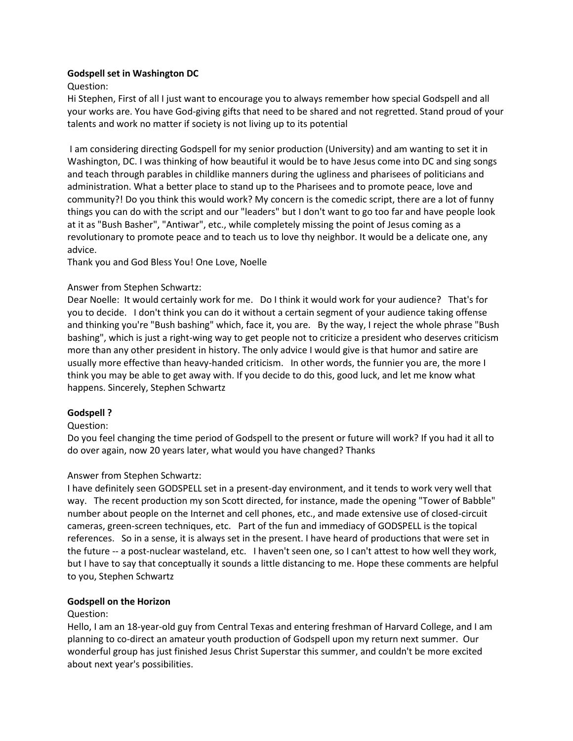### **Godspell set in Washington DC**

Question:

Hi Stephen, First of all I just want to encourage you to always remember how special Godspell and all your works are. You have God-giving gifts that need to be shared and not regretted. Stand proud of your talents and work no matter if society is not living up to its potential

I am considering directing Godspell for my senior production (University) and am wanting to set it in Washington, DC. I was thinking of how beautiful it would be to have Jesus come into DC and sing songs and teach through parables in childlike manners during the ugliness and pharisees of politicians and administration. What a better place to stand up to the Pharisees and to promote peace, love and community?! Do you think this would work? My concern is the comedic script, there are a lot of funny things you can do with the script and our "leaders" but I don't want to go too far and have people look at it as "Bush Basher", "Antiwar", etc., while completely missing the point of Jesus coming as a revolutionary to promote peace and to teach us to love thy neighbor. It would be a delicate one, any advice.

Thank you and God Bless You! One Love, Noelle

# Answer from Stephen Schwartz:

Dear Noelle: It would certainly work for me. Do I think it would work for your audience? That's for you to decide. I don't think you can do it without a certain segment of your audience taking offense and thinking you're "Bush bashing" which, face it, you are. By the way, I reject the whole phrase "Bush bashing", which is just a right-wing way to get people not to criticize a president who deserves criticism more than any other president in history. The only advice I would give is that humor and satire are usually more effective than heavy-handed criticism. In other words, the funnier you are, the more I think you may be able to get away with. If you decide to do this, good luck, and let me know what happens. Sincerely, Stephen Schwartz

### **Godspell ?**

### Question:

Do you feel changing the time period of Godspell to the present or future will work? If you had it all to do over again, now 20 years later, what would you have changed? Thanks

### Answer from Stephen Schwartz:

I have definitely seen GODSPELL set in a present-day environment, and it tends to work very well that way. The recent production my son Scott directed, for instance, made the opening "Tower of Babble" number about people on the Internet and cell phones, etc., and made extensive use of closed-circuit cameras, green-screen techniques, etc. Part of the fun and immediacy of GODSPELL is the topical references. So in a sense, it is always set in the present. I have heard of productions that were set in the future -- a post-nuclear wasteland, etc. I haven't seen one, so I can't attest to how well they work, but I have to say that conceptually it sounds a little distancing to me. Hope these comments are helpful to you, Stephen Schwartz

# **Godspell on the Horizon**

### Question:

Hello, I am an 18-year-old guy from Central Texas and entering freshman of Harvard College, and I am planning to co-direct an amateur youth production of Godspell upon my return next summer. Our wonderful group has just finished Jesus Christ Superstar this summer, and couldn't be more excited about next year's possibilities.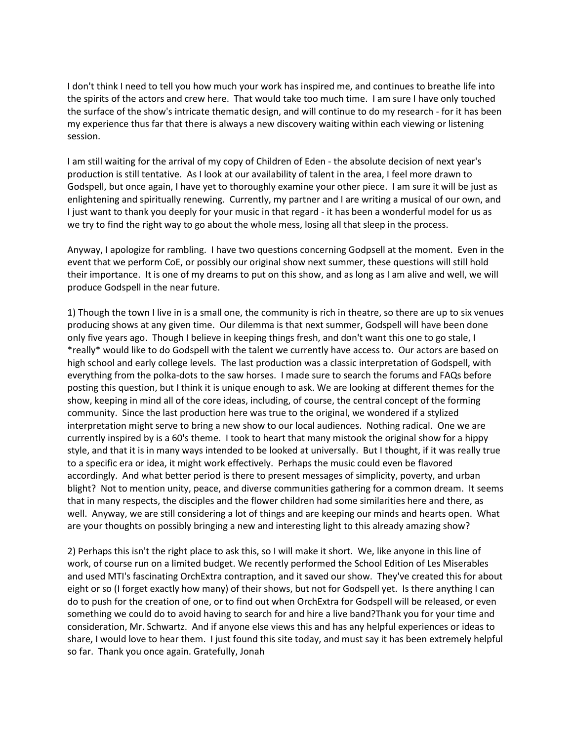I don't think I need to tell you how much your work has inspired me, and continues to breathe life into the spirits of the actors and crew here. That would take too much time. I am sure I have only touched the surface of the show's intricate thematic design, and will continue to do my research - for it has been my experience thus far that there is always a new discovery waiting within each viewing or listening session.

I am still waiting for the arrival of my copy of Children of Eden - the absolute decision of next year's production is still tentative. As I look at our availability of talent in the area, I feel more drawn to Godspell, but once again, I have yet to thoroughly examine your other piece. I am sure it will be just as enlightening and spiritually renewing. Currently, my partner and I are writing a musical of our own, and I just want to thank you deeply for your music in that regard - it has been a wonderful model for us as we try to find the right way to go about the whole mess, losing all that sleep in the process.

Anyway, I apologize for rambling. I have two questions concerning Godpsell at the moment. Even in the event that we perform CoE, or possibly our original show next summer, these questions will still hold their importance. It is one of my dreams to put on this show, and as long as I am alive and well, we will produce Godspell in the near future.

1) Though the town I live in is a small one, the community is rich in theatre, so there are up to six venues producing shows at any given time. Our dilemma is that next summer, Godspell will have been done only five years ago. Though I believe in keeping things fresh, and don't want this one to go stale, I \*really\* would like to do Godspell with the talent we currently have access to. Our actors are based on high school and early college levels. The last production was a classic interpretation of Godspell, with everything from the polka-dots to the saw horses. I made sure to search the forums and FAQs before posting this question, but I think it is unique enough to ask. We are looking at different themes for the show, keeping in mind all of the core ideas, including, of course, the central concept of the forming community. Since the last production here was true to the original, we wondered if a stylized interpretation might serve to bring a new show to our local audiences. Nothing radical. One we are currently inspired by is a 60's theme. I took to heart that many mistook the original show for a hippy style, and that it is in many ways intended to be looked at universally. But I thought, if it was really true to a specific era or idea, it might work effectively. Perhaps the music could even be flavored accordingly. And what better period is there to present messages of simplicity, poverty, and urban blight? Not to mention unity, peace, and diverse communities gathering for a common dream. It seems that in many respects, the disciples and the flower children had some similarities here and there, as well. Anyway, we are still considering a lot of things and are keeping our minds and hearts open. What are your thoughts on possibly bringing a new and interesting light to this already amazing show?

2) Perhaps this isn't the right place to ask this, so I will make it short. We, like anyone in this line of work, of course run on a limited budget. We recently performed the School Edition of Les Miserables and used MTI's fascinating OrchExtra contraption, and it saved our show. They've created this for about eight or so (I forget exactly how many) of their shows, but not for Godspell yet. Is there anything I can do to push for the creation of one, or to find out when OrchExtra for Godspell will be released, or even something we could do to avoid having to search for and hire a live band?Thank you for your time and consideration, Mr. Schwartz. And if anyone else views this and has any helpful experiences or ideas to share, I would love to hear them. I just found this site today, and must say it has been extremely helpful so far. Thank you once again. Gratefully, Jonah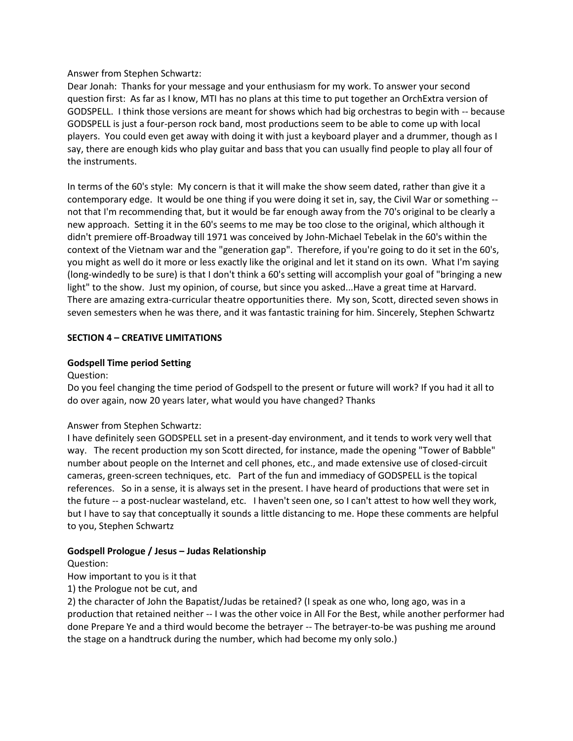Answer from Stephen Schwartz:

Dear Jonah: Thanks for your message and your enthusiasm for my work. To answer your second question first: As far as I know, MTI has no plans at this time to put together an OrchExtra version of GODSPELL. I think those versions are meant for shows which had big orchestras to begin with -- because GODSPELL is just a four-person rock band, most productions seem to be able to come up with local players. You could even get away with doing it with just a keyboard player and a drummer, though as I say, there are enough kids who play guitar and bass that you can usually find people to play all four of the instruments.

In terms of the 60's style: My concern is that it will make the show seem dated, rather than give it a contemporary edge. It would be one thing if you were doing it set in, say, the Civil War or something - not that I'm recommending that, but it would be far enough away from the 70's original to be clearly a new approach. Setting it in the 60's seems to me may be too close to the original, which although it didn't premiere off-Broadway till 1971 was conceived by John-Michael Tebelak in the 60's within the context of the Vietnam war and the "generation gap". Therefore, if you're going to do it set in the 60's, you might as well do it more or less exactly like the original and let it stand on its own. What I'm saying (long-windedly to be sure) is that I don't think a 60's setting will accomplish your goal of "bringing a new light" to the show. Just my opinion, of course, but since you asked...Have a great time at Harvard. There are amazing extra-curricular theatre opportunities there. My son, Scott, directed seven shows in seven semesters when he was there, and it was fantastic training for him. Sincerely, Stephen Schwartz

### **SECTION 4 – CREATIVE LIMITATIONS**

#### **Godspell Time period Setting**

Question:

Do you feel changing the time period of Godspell to the present or future will work? If you had it all to do over again, now 20 years later, what would you have changed? Thanks

### Answer from Stephen Schwartz:

I have definitely seen GODSPELL set in a present-day environment, and it tends to work very well that way. The recent production my son Scott directed, for instance, made the opening "Tower of Babble" number about people on the Internet and cell phones, etc., and made extensive use of closed-circuit cameras, green-screen techniques, etc. Part of the fun and immediacy of GODSPELL is the topical references. So in a sense, it is always set in the present. I have heard of productions that were set in the future -- a post-nuclear wasteland, etc. I haven't seen one, so I can't attest to how well they work, but I have to say that conceptually it sounds a little distancing to me. Hope these comments are helpful to you, Stephen Schwartz

### **Godspell Prologue / Jesus – Judas Relationship**

Question:

How important to you is it that

1) the Prologue not be cut, and

2) the character of John the Bapatist/Judas be retained? (I speak as one who, long ago, was in a production that retained neither -- I was the other voice in All For the Best, while another performer had done Prepare Ye and a third would become the betrayer -- The betrayer-to-be was pushing me around the stage on a handtruck during the number, which had become my only solo.)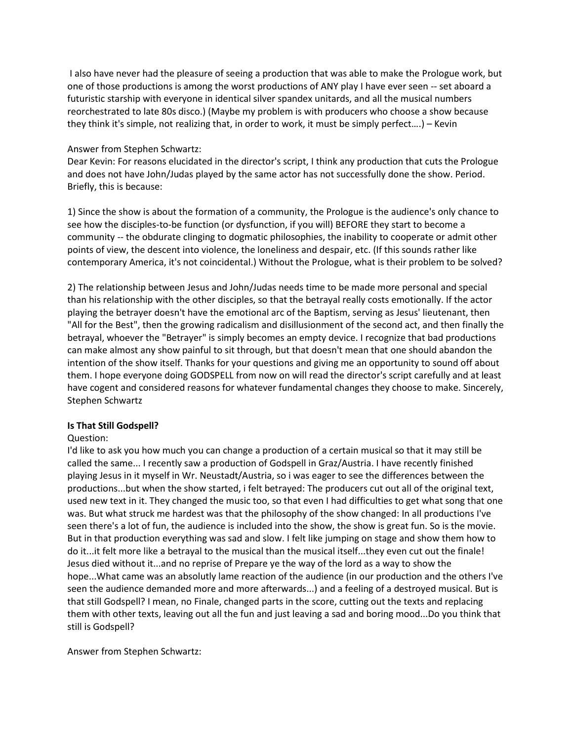I also have never had the pleasure of seeing a production that was able to make the Prologue work, but one of those productions is among the worst productions of ANY play I have ever seen -- set aboard a futuristic starship with everyone in identical silver spandex unitards, and all the musical numbers reorchestrated to late 80s disco.) (Maybe my problem is with producers who choose a show because they think it's simple, not realizing that, in order to work, it must be simply perfect….) – Kevin

### Answer from Stephen Schwartz:

Dear Kevin: For reasons elucidated in the director's script, I think any production that cuts the Prologue and does not have John/Judas played by the same actor has not successfully done the show. Period. Briefly, this is because:

1) Since the show is about the formation of a community, the Prologue is the audience's only chance to see how the disciples-to-be function (or dysfunction, if you will) BEFORE they start to become a community -- the obdurate clinging to dogmatic philosophies, the inability to cooperate or admit other points of view, the descent into violence, the loneliness and despair, etc. (If this sounds rather like contemporary America, it's not coincidental.) Without the Prologue, what is their problem to be solved?

2) The relationship between Jesus and John/Judas needs time to be made more personal and special than his relationship with the other disciples, so that the betrayal really costs emotionally. If the actor playing the betrayer doesn't have the emotional arc of the Baptism, serving as Jesus' lieutenant, then "All for the Best", then the growing radicalism and disillusionment of the second act, and then finally the betrayal, whoever the "Betrayer" is simply becomes an empty device. I recognize that bad productions can make almost any show painful to sit through, but that doesn't mean that one should abandon the intention of the show itself. Thanks for your questions and giving me an opportunity to sound off about them. I hope everyone doing GODSPELL from now on will read the director's script carefully and at least have cogent and considered reasons for whatever fundamental changes they choose to make. Sincerely, Stephen Schwartz

# **Is That Still Godspell?**

# Question:

I'd like to ask you how much you can change a production of a certain musical so that it may still be called the same... I recently saw a production of Godspell in Graz/Austria. I have recently finished playing Jesus in it myself in Wr. Neustadt/Austria, so i was eager to see the differences between the productions...but when the show started, i felt betrayed: The producers cut out all of the original text, used new text in it. They changed the music too, so that even I had difficulties to get what song that one was. But what struck me hardest was that the philosophy of the show changed: In all productions I've seen there's a lot of fun, the audience is included into the show, the show is great fun. So is the movie. But in that production everything was sad and slow. I felt like jumping on stage and show them how to do it...it felt more like a betrayal to the musical than the musical itself...they even cut out the finale! Jesus died without it...and no reprise of Prepare ye the way of the lord as a way to show the hope...What came was an absolutly lame reaction of the audience (in our production and the others I've seen the audience demanded more and more afterwards...) and a feeling of a destroyed musical. But is that still Godspell? I mean, no Finale, changed parts in the score, cutting out the texts and replacing them with other texts, leaving out all the fun and just leaving a sad and boring mood...Do you think that still is Godspell?

Answer from Stephen Schwartz: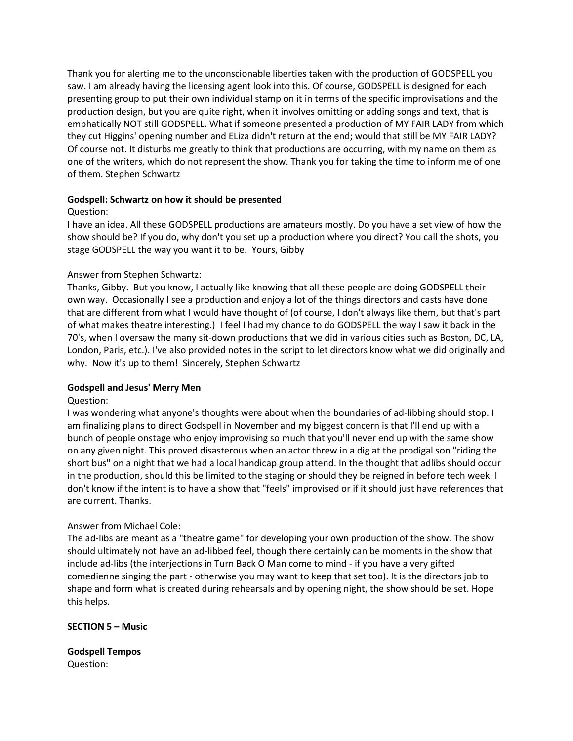Thank you for alerting me to the unconscionable liberties taken with the production of GODSPELL you saw. I am already having the licensing agent look into this. Of course, GODSPELL is designed for each presenting group to put their own individual stamp on it in terms of the specific improvisations and the production design, but you are quite right, when it involves omitting or adding songs and text, that is emphatically NOT still GODSPELL. What if someone presented a production of MY FAIR LADY from which they cut Higgins' opening number and ELiza didn't return at the end; would that still be MY FAIR LADY? Of course not. It disturbs me greatly to think that productions are occurring, with my name on them as one of the writers, which do not represent the show. Thank you for taking the time to inform me of one of them. Stephen Schwartz

### **Godspell: Schwartz on how it should be presented**

# Question:

I have an idea. All these GODSPELL productions are amateurs mostly. Do you have a set view of how the show should be? If you do, why don't you set up a production where you direct? You call the shots, you stage GODSPELL the way you want it to be. Yours, Gibby

# Answer from Stephen Schwartz:

Thanks, Gibby. But you know, I actually like knowing that all these people are doing GODSPELL their own way. Occasionally I see a production and enjoy a lot of the things directors and casts have done that are different from what I would have thought of (of course, I don't always like them, but that's part of what makes theatre interesting.) I feel I had my chance to do GODSPELL the way I saw it back in the 70's, when I oversaw the many sit-down productions that we did in various cities such as Boston, DC, LA, London, Paris, etc.). I've also provided notes in the script to let directors know what we did originally and why. Now it's up to them! Sincerely, Stephen Schwartz

### **Godspell and Jesus' Merry Men**

### Question:

I was wondering what anyone's thoughts were about when the boundaries of ad-libbing should stop. I am finalizing plans to direct Godspell in November and my biggest concern is that I'll end up with a bunch of people onstage who enjoy improvising so much that you'll never end up with the same show on any given night. This proved disasterous when an actor threw in a dig at the prodigal son "riding the short bus" on a night that we had a local handicap group attend. In the thought that adlibs should occur in the production, should this be limited to the staging or should they be reigned in before tech week. I don't know if the intent is to have a show that "feels" improvised or if it should just have references that are current. Thanks.

### Answer from Michael Cole:

The ad-libs are meant as a "theatre game" for developing your own production of the show. The show should ultimately not have an ad-libbed feel, though there certainly can be moments in the show that include ad-libs (the interjections in Turn Back O Man come to mind - if you have a very gifted comedienne singing the part - otherwise you may want to keep that set too). It is the directors job to shape and form what is created during rehearsals and by opening night, the show should be set. Hope this helps.

### **SECTION 5 – Music**

**Godspell Tempos** Question: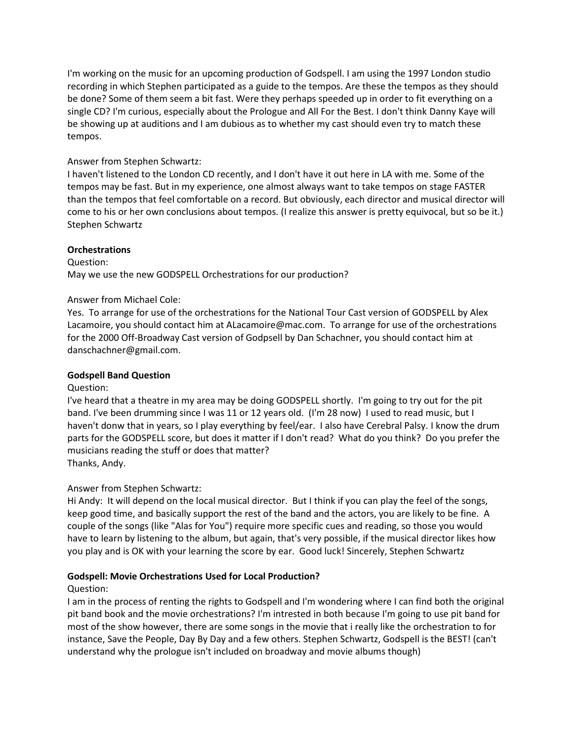I'm working on the music for an upcoming production of Godspell. I am using the 1997 London studio recording in which Stephen participated as a guide to the tempos. Are these the tempos as they should be done? Some of them seem a bit fast. Were they perhaps speeded up in order to fit everything on a single CD? I'm curious, especially about the Prologue and All For the Best. I don't think Danny Kaye will be showing up at auditions and I am dubious as to whether my cast should even try to match these tempos.

# Answer from Stephen Schwartz:

I haven't listened to the London CD recently, and I don't have it out here in LA with me. Some of the tempos may be fast. But in my experience, one almost always want to take tempos on stage FASTER than the tempos that feel comfortable on a record. But obviously, each director and musical director will come to his or her own conclusions about tempos. (I realize this answer is pretty equivocal, but so be it.) Stephen Schwartz

### **Orchestrations**

Question: May we use the new GODSPELL Orchestrations for our production?

#### Answer from Michael Cole:

Yes. To arrange for use of the orchestrations for the National Tour Cast version of GODSPELL by Alex Lacamoire, you should contact him at ALacamoire@mac.com. To arrange for use of the orchestrations for the 2000 Off-Broadway Cast version of Godpsell by Dan Schachner, you should contact him at danschachner@gmail.com.

### **Godspell Band Question**

#### Question:

I've heard that a theatre in my area may be doing GODSPELL shortly. I'm going to try out for the pit band. I've been drumming since I was 11 or 12 years old. (I'm 28 now) I used to read music, but I haven't donw that in years, so I play everything by feel/ear. I also have Cerebral Palsy. I know the drum parts for the GODSPELL score, but does it matter if I don't read? What do you think? Do you prefer the musicians reading the stuff or does that matter? Thanks, Andy.

### Answer from Stephen Schwartz:

Hi Andy: It will depend on the local musical director. But I think if you can play the feel of the songs, keep good time, and basically support the rest of the band and the actors, you are likely to be fine. A couple of the songs (like "Alas for You") require more specific cues and reading, so those you would have to learn by listening to the album, but again, that's very possible, if the musical director likes how you play and is OK with your learning the score by ear. Good luck! Sincerely, Stephen Schwartz

### **Godspell: Movie Orchestrations Used for Local Production?**

### Question:

I am in the process of renting the rights to Godspell and I'm wondering where I can find both the original pit band book and the movie orchestrations? I'm intrested in both because I'm going to use pit band for most of the show however, there are some songs in the movie that i really like the orchestration to for instance, Save the People, Day By Day and a few others. Stephen Schwartz, Godspell is the BEST! (can't understand why the prologue isn't included on broadway and movie albums though)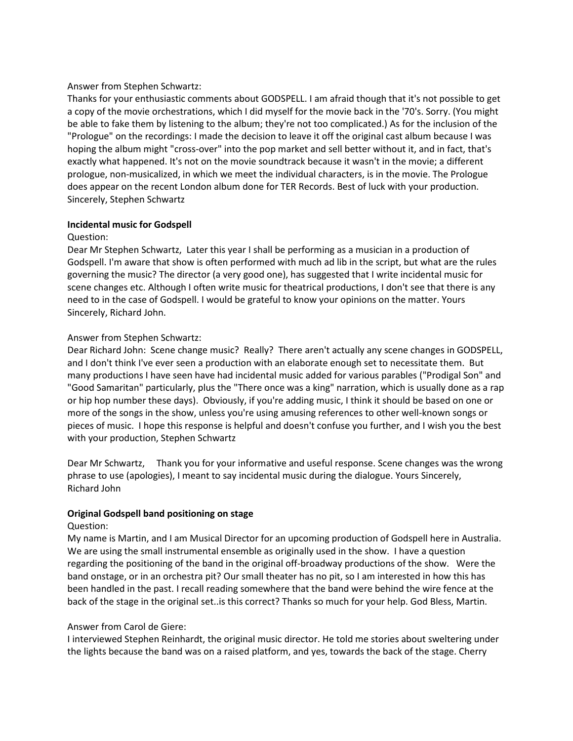#### Answer from Stephen Schwartz:

Thanks for your enthusiastic comments about GODSPELL. I am afraid though that it's not possible to get a copy of the movie orchestrations, which I did myself for the movie back in the '70's. Sorry. (You might be able to fake them by listening to the album; they're not too complicated.) As for the inclusion of the "Prologue" on the recordings: I made the decision to leave it off the original cast album because I was hoping the album might "cross-over" into the pop market and sell better without it, and in fact, that's exactly what happened. It's not on the movie soundtrack because it wasn't in the movie; a different prologue, non-musicalized, in which we meet the individual characters, is in the movie. The Prologue does appear on the recent London album done for TER Records. Best of luck with your production. Sincerely, Stephen Schwartz

### **Incidental music for Godspell**

#### Question:

Dear Mr Stephen Schwartz, Later this year I shall be performing as a musician in a production of Godspell. I'm aware that show is often performed with much ad lib in the script, but what are the rules governing the music? The director (a very good one), has suggested that I write incidental music for scene changes etc. Although I often write music for theatrical productions, I don't see that there is any need to in the case of Godspell. I would be grateful to know your opinions on the matter. Yours Sincerely, Richard John.

### Answer from Stephen Schwartz:

Dear Richard John: Scene change music? Really? There aren't actually any scene changes in GODSPELL, and I don't think I've ever seen a production with an elaborate enough set to necessitate them. But many productions I have seen have had incidental music added for various parables ("Prodigal Son" and "Good Samaritan" particularly, plus the "There once was a king" narration, which is usually done as a rap or hip hop number these days). Obviously, if you're adding music, I think it should be based on one or more of the songs in the show, unless you're using amusing references to other well-known songs or pieces of music. I hope this response is helpful and doesn't confuse you further, and I wish you the best with your production, Stephen Schwartz

Dear Mr Schwartz, Thank you for your informative and useful response. Scene changes was the wrong phrase to use (apologies), I meant to say incidental music during the dialogue. Yours Sincerely, Richard John

### **Original Godspell band positioning on stage**

### Question:

My name is Martin, and I am Musical Director for an upcoming production of Godspell here in Australia. We are using the small instrumental ensemble as originally used in the show. I have a question regarding the positioning of the band in the original off-broadway productions of the show. Were the band onstage, or in an orchestra pit? Our small theater has no pit, so I am interested in how this has been handled in the past. I recall reading somewhere that the band were behind the wire fence at the back of the stage in the original set..is this correct? Thanks so much for your help. God Bless, Martin.

### Answer from Carol de Giere:

I interviewed Stephen Reinhardt, the original music director. He told me stories about sweltering under the lights because the band was on a raised platform, and yes, towards the back of the stage. Cherry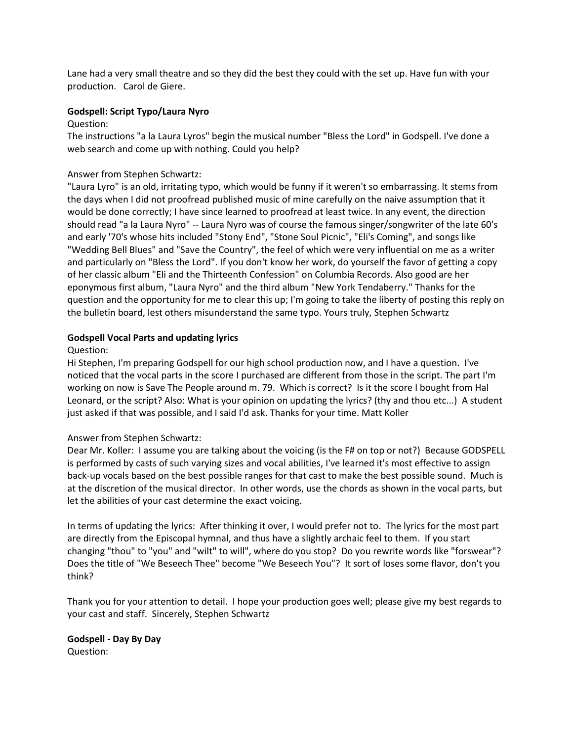Lane had a very small theatre and so they did the best they could with the set up. Have fun with your production. Carol de Giere.

### **Godspell: Script Typo/Laura Nyro**

### Question:

The instructions "a la Laura Lyros" begin the musical number "Bless the Lord" in Godspell. I've done a web search and come up with nothing. Could you help?

# Answer from Stephen Schwartz:

"Laura Lyro" is an old, irritating typo, which would be funny if it weren't so embarrassing. It stems from the days when I did not proofread published music of mine carefully on the naive assumption that it would be done correctly; I have since learned to proofread at least twice. In any event, the direction should read "a la Laura Nyro" -- Laura Nyro was of course the famous singer/songwriter of the late 60's and early '70's whose hits included "Stony End", "Stone Soul Picnic", "Eli's Coming", and songs like "Wedding Bell Blues" and "Save the Country", the feel of which were very influential on me as a writer and particularly on "Bless the Lord". If you don't know her work, do yourself the favor of getting a copy of her classic album "Eli and the Thirteenth Confession" on Columbia Records. Also good are her eponymous first album, "Laura Nyro" and the third album "New York Tendaberry." Thanks for the question and the opportunity for me to clear this up; I'm going to take the liberty of posting this reply on the bulletin board, lest others misunderstand the same typo. Yours truly, Stephen Schwartz

# **Godspell Vocal Parts and updating lyrics**

# Question:

Hi Stephen, I'm preparing Godspell for our high school production now, and I have a question. I've noticed that the vocal parts in the score I purchased are different from those in the script. The part I'm working on now is Save The People around m. 79. Which is correct? Is it the score I bought from Hal Leonard, or the script? Also: What is your opinion on updating the lyrics? (thy and thou etc...) A student just asked if that was possible, and I said I'd ask. Thanks for your time. Matt Koller

# Answer from Stephen Schwartz:

Dear Mr. Koller: I assume you are talking about the voicing (is the F# on top or not?) Because GODSPELL is performed by casts of such varying sizes and vocal abilities, I've learned it's most effective to assign back-up vocals based on the best possible ranges for that cast to make the best possible sound. Much is at the discretion of the musical director. In other words, use the chords as shown in the vocal parts, but let the abilities of your cast determine the exact voicing.

In terms of updating the lyrics: After thinking it over, I would prefer not to. The lyrics for the most part are directly from the Episcopal hymnal, and thus have a slightly archaic feel to them. If you start changing "thou" to "you" and "wilt" to will", where do you stop? Do you rewrite words like "forswear"? Does the title of "We Beseech Thee" become "We Beseech You"? It sort of loses some flavor, don't you think?

Thank you for your attention to detail. I hope your production goes well; please give my best regards to your cast and staff. Sincerely, Stephen Schwartz

**Godspell - Day By Day** Question: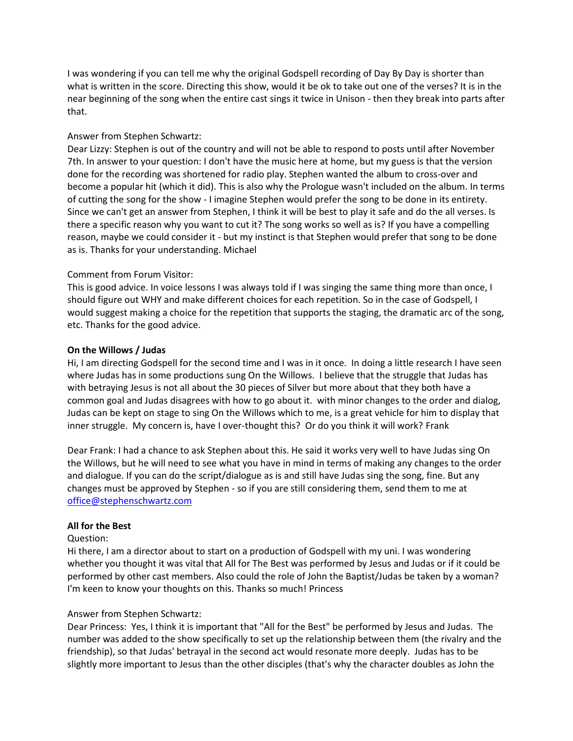I was wondering if you can tell me why the original Godspell recording of Day By Day is shorter than what is written in the score. Directing this show, would it be ok to take out one of the verses? It is in the near beginning of the song when the entire cast sings it twice in Unison - then they break into parts after that.

# Answer from Stephen Schwartz:

Dear Lizzy: Stephen is out of the country and will not be able to respond to posts until after November 7th. In answer to your question: I don't have the music here at home, but my guess is that the version done for the recording was shortened for radio play. Stephen wanted the album to cross-over and become a popular hit (which it did). This is also why the Prologue wasn't included on the album. In terms of cutting the song for the show - I imagine Stephen would prefer the song to be done in its entirety. Since we can't get an answer from Stephen, I think it will be best to play it safe and do the all verses. Is there a specific reason why you want to cut it? The song works so well as is? If you have a compelling reason, maybe we could consider it - but my instinct is that Stephen would prefer that song to be done as is. Thanks for your understanding. Michael

# Comment from Forum Visitor:

This is good advice. In voice lessons I was always told if I was singing the same thing more than once, I should figure out WHY and make different choices for each repetition. So in the case of Godspell, I would suggest making a choice for the repetition that supports the staging, the dramatic arc of the song, etc. Thanks for the good advice.

# **On the Willows / Judas**

Hi, I am directing Godspell for the second time and I was in it once. In doing a little research I have seen where Judas has in some productions sung On the Willows. I believe that the struggle that Judas has with betraying Jesus is not all about the 30 pieces of Silver but more about that they both have a common goal and Judas disagrees with how to go about it. with minor changes to the order and dialog, Judas can be kept on stage to sing On the Willows which to me, is a great vehicle for him to display that inner struggle. My concern is, have I over-thought this? Or do you think it will work? Frank

Dear Frank: I had a chance to ask Stephen about this. He said it works very well to have Judas sing On the Willows, but he will need to see what you have in mind in terms of making any changes to the order and dialogue. If you can do the script/dialogue as is and still have Judas sing the song, fine. But any changes must be approved by Stephen - so if you are still considering them, send them to me at [office@stephenschwartz.com](mailto:office@stephenschwartz.com)

### **All for the Best**

### Question:

Hi there, I am a director about to start on a production of Godspell with my uni. I was wondering whether you thought it was vital that All for The Best was performed by Jesus and Judas or if it could be performed by other cast members. Also could the role of John the Baptist/Judas be taken by a woman? I'm keen to know your thoughts on this. Thanks so much! Princess

### Answer from Stephen Schwartz:

Dear Princess: Yes, I think it is important that "All for the Best" be performed by Jesus and Judas. The number was added to the show specifically to set up the relationship between them (the rivalry and the friendship), so that Judas' betrayal in the second act would resonate more deeply. Judas has to be slightly more important to Jesus than the other disciples (that's why the character doubles as John the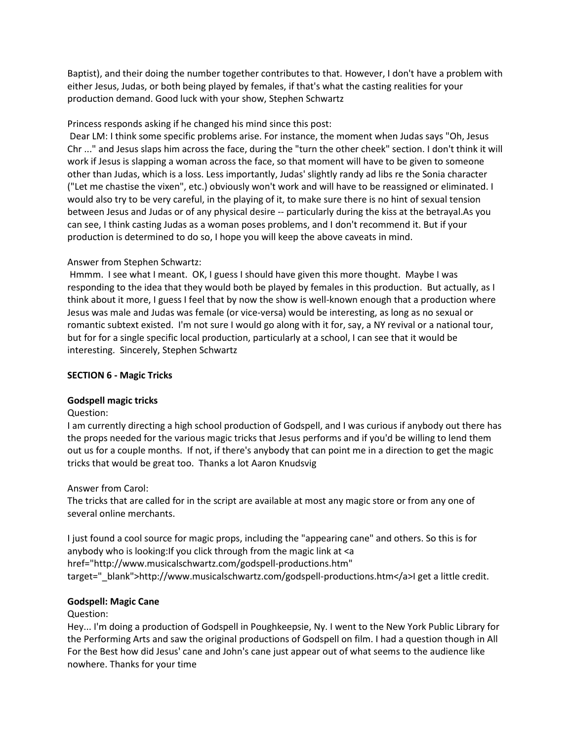Baptist), and their doing the number together contributes to that. However, I don't have a problem with either Jesus, Judas, or both being played by females, if that's what the casting realities for your production demand. Good luck with your show, Stephen Schwartz

# Princess responds asking if he changed his mind since this post:

Dear LM: I think some specific problems arise. For instance, the moment when Judas says "Oh, Jesus Chr ..." and Jesus slaps him across the face, during the "turn the other cheek" section. I don't think it will work if Jesus is slapping a woman across the face, so that moment will have to be given to someone other than Judas, which is a loss. Less importantly, Judas' slightly randy ad libs re the Sonia character ("Let me chastise the vixen", etc.) obviously won't work and will have to be reassigned or eliminated. I would also try to be very careful, in the playing of it, to make sure there is no hint of sexual tension between Jesus and Judas or of any physical desire -- particularly during the kiss at the betrayal.As you can see, I think casting Judas as a woman poses problems, and I don't recommend it. But if your production is determined to do so, I hope you will keep the above caveats in mind.

# Answer from Stephen Schwartz:

Hmmm. I see what I meant. OK, I guess I should have given this more thought. Maybe I was responding to the idea that they would both be played by females in this production. But actually, as I think about it more, I guess I feel that by now the show is well-known enough that a production where Jesus was male and Judas was female (or vice-versa) would be interesting, as long as no sexual or romantic subtext existed. I'm not sure I would go along with it for, say, a NY revival or a national tour, but for for a single specific local production, particularly at a school, I can see that it would be interesting. Sincerely, Stephen Schwartz

# **SECTION 6 - Magic Tricks**

### **Godspell magic tricks**

### Question:

I am currently directing a high school production of Godspell, and I was curious if anybody out there has the props needed for the various magic tricks that Jesus performs and if you'd be willing to lend them out us for a couple months. If not, if there's anybody that can point me in a direction to get the magic tricks that would be great too. Thanks a lot Aaron Knudsvig

### Answer from Carol:

The tricks that are called for in the script are available at most any magic store or from any one of several online merchants.

I just found a cool source for magic props, including the "appearing cane" and others. So this is for anybody who is looking: If you click through from the magic link at <a href="http://www.musicalschwartz.com/godspell-productions.htm" target="\_blank">http://www.musicalschwartz.com/godspell-productions.htm</a>I get a little credit.

### **Godspell: Magic Cane**

### Question:

Hey... I'm doing a production of Godspell in Poughkeepsie, Ny. I went to the New York Public Library for the Performing Arts and saw the original productions of Godspell on film. I had a question though in All For the Best how did Jesus' cane and John's cane just appear out of what seems to the audience like nowhere. Thanks for your time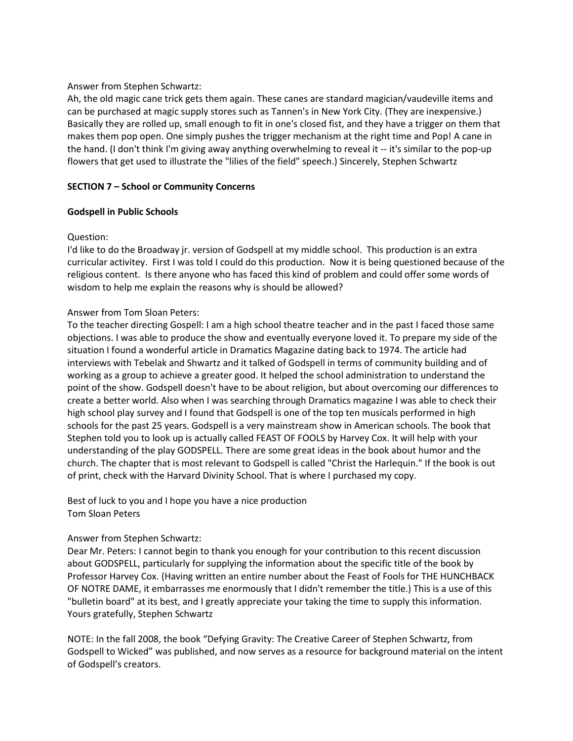### Answer from Stephen Schwartz:

Ah, the old magic cane trick gets them again. These canes are standard magician/vaudeville items and can be purchased at magic supply stores such as Tannen's in New York City. (They are inexpensive.) Basically they are rolled up, small enough to fit in one's closed fist, and they have a trigger on them that makes them pop open. One simply pushes the trigger mechanism at the right time and Pop! A cane in the hand. (I don't think I'm giving away anything overwhelming to reveal it -- it's similar to the pop-up flowers that get used to illustrate the "lilies of the field" speech.) Sincerely, Stephen Schwartz

# **SECTION 7 – School or Community Concerns**

# **Godspell in Public Schools**

# Question:

I'd like to do the Broadway jr. version of Godspell at my middle school. This production is an extra curricular activitey. First I was told I could do this production. Now it is being questioned because of the religious content. Is there anyone who has faced this kind of problem and could offer some words of wisdom to help me explain the reasons why is should be allowed?

# Answer from Tom Sloan Peters:

To the teacher directing Gospell: I am a high school theatre teacher and in the past I faced those same objections. I was able to produce the show and eventually everyone loved it. To prepare my side of the situation I found a wonderful article in Dramatics Magazine dating back to 1974. The article had interviews with Tebelak and Shwartz and it talked of Godspell in terms of community building and of working as a group to achieve a greater good. It helped the school administration to understand the point of the show. Godspell doesn't have to be about religion, but about overcoming our differences to create a better world. Also when I was searching through Dramatics magazine I was able to check their high school play survey and I found that Godspell is one of the top ten musicals performed in high schools for the past 25 years. Godspell is a very mainstream show in American schools. The book that Stephen told you to look up is actually called FEAST OF FOOLS by Harvey Cox. It will help with your understanding of the play GODSPELL. There are some great ideas in the book about humor and the church. The chapter that is most relevant to Godspell is called "Christ the Harlequin." If the book is out of print, check with the Harvard Divinity School. That is where I purchased my copy.

# Best of luck to you and I hope you have a nice production Tom Sloan Peters

# Answer from Stephen Schwartz:

Dear Mr. Peters: I cannot begin to thank you enough for your contribution to this recent discussion about GODSPELL, particularly for supplying the information about the specific title of the book by Professor Harvey Cox. (Having written an entire number about the Feast of Fools for THE HUNCHBACK OF NOTRE DAME, it embarrasses me enormously that I didn't remember the title.) This is a use of this "bulletin board" at its best, and I greatly appreciate your taking the time to supply this information. Yours gratefully, Stephen Schwartz

NOTE: In the fall 2008, the book "Defying Gravity: The Creative Career of Stephen Schwartz, from Godspell to Wicked" was published, and now serves as a resource for background material on the intent of Godspell's creators.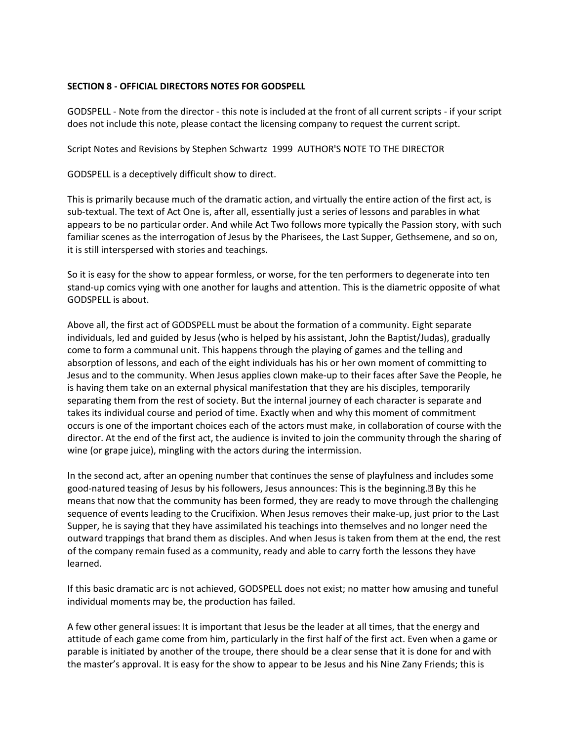### **SECTION 8 - OFFICIAL DIRECTORS NOTES FOR GODSPELL**

GODSPELL - Note from the director - this note is included at the front of all current scripts - if your script does not include this note, please contact the licensing company to request the current script.

Script Notes and Revisions by Stephen Schwartz 1999 AUTHOR'S NOTE TO THE DIRECTOR

GODSPELL is a deceptively difficult show to direct.

This is primarily because much of the dramatic action, and virtually the entire action of the first act, is sub-textual. The text of Act One is, after all, essentially just a series of lessons and parables in what appears to be no particular order. And while Act Two follows more typically the Passion story, with such familiar scenes as the interrogation of Jesus by the Pharisees, the Last Supper, Gethsemene, and so on, it is still interspersed with stories and teachings.

So it is easy for the show to appear formless, or worse, for the ten performers to degenerate into ten stand-up comics vying with one another for laughs and attention. This is the diametric opposite of what GODSPELL is about.

Above all, the first act of GODSPELL must be about the formation of a community. Eight separate individuals, led and guided by Jesus (who is helped by his assistant, John the Baptist/Judas), gradually come to form a communal unit. This happens through the playing of games and the telling and absorption of lessons, and each of the eight individuals has his or her own moment of committing to Jesus and to the community. When Jesus applies clown make-up to their faces after Save the People, he is having them take on an external physical manifestation that they are his disciples, temporarily separating them from the rest of society. But the internal journey of each character is separate and takes its individual course and period of time. Exactly when and why this moment of commitment occurs is one of the important choices each of the actors must make, in collaboration of course with the director. At the end of the first act, the audience is invited to join the community through the sharing of wine (or grape juice), mingling with the actors during the intermission.

In the second act, after an opening number that continues the sense of playfulness and includes some good-natured teasing of Jesus by his followers, Jesus announces: This is the beginning.• By this he means that now that the community has been formed, they are ready to move through the challenging sequence of events leading to the Crucifixion. When Jesus removes their make-up, just prior to the Last Supper, he is saying that they have assimilated his teachings into themselves and no longer need the outward trappings that brand them as disciples. And when Jesus is taken from them at the end, the rest of the company remain fused as a community, ready and able to carry forth the lessons they have learned.

If this basic dramatic arc is not achieved, GODSPELL does not exist; no matter how amusing and tuneful individual moments may be, the production has failed.

A few other general issues: It is important that Jesus be the leader at all times, that the energy and attitude of each game come from him, particularly in the first half of the first act. Even when a game or parable is initiated by another of the troupe, there should be a clear sense that it is done for and with the master's approval. It is easy for the show to appear to be Jesus and his Nine Zany Friends; this is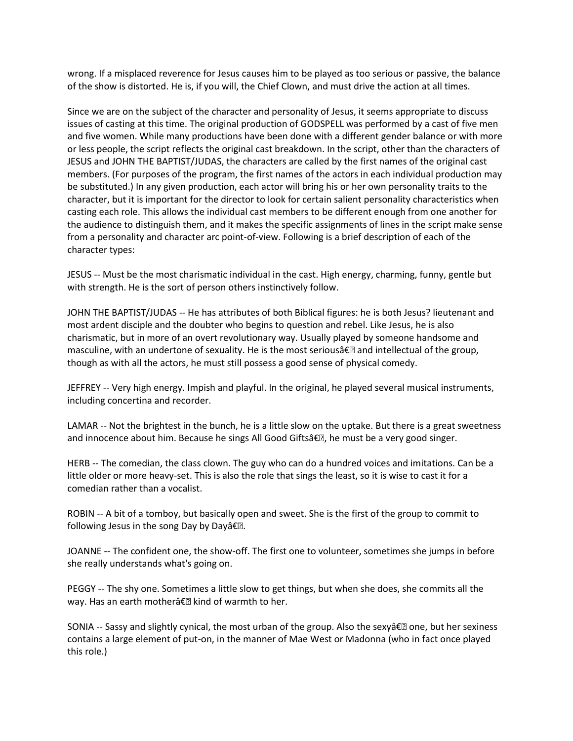wrong. If a misplaced reverence for Jesus causes him to be played as too serious or passive, the balance of the show is distorted. He is, if you will, the Chief Clown, and must drive the action at all times.

Since we are on the subject of the character and personality of Jesus, it seems appropriate to discuss issues of casting at this time. The original production of GODSPELL was performed by a cast of five men and five women. While many productions have been done with a different gender balance or with more or less people, the script reflects the original cast breakdown. In the script, other than the characters of JESUS and JOHN THE BAPTIST/JUDAS, the characters are called by the first names of the original cast members. (For purposes of the program, the first names of the actors in each individual production may be substituted.) In any given production, each actor will bring his or her own personality traits to the character, but it is important for the director to look for certain salient personality characteristics when casting each role. This allows the individual cast members to be different enough from one another for the audience to distinguish them, and it makes the specific assignments of lines in the script make sense from a personality and character arc point-of-view. Following is a brief description of each of the character types:

JESUS -- Must be the most charismatic individual in the cast. High energy, charming, funny, gentle but with strength. He is the sort of person others instinctively follow.

JOHN THE BAPTIST/JUDAS -- He has attributes of both Biblical figures: he is both Jesus? lieutenant and most ardent disciple and the doubter who begins to question and rebel. Like Jesus, he is also charismatic, but in more of an overt revolutionary way. Usually played by someone handsome and masculine, with an undertone of sexuality. He is the most seriousâ€• and intellectual of the group, though as with all the actors, he must still possess a good sense of physical comedy.

JEFFREY -- Very high energy. Impish and playful. In the original, he played several musical instruments, including concertina and recorder.

LAMAR -- Not the brightest in the bunch, he is a little slow on the uptake. But there is a great sweetness and innocence about him. Because he sings All Good Giftsâ€•, he must be a very good singer.

HERB -- The comedian, the class clown. The guy who can do a hundred voices and imitations. Can be a little older or more heavy-set. This is also the role that sings the least, so it is wise to cast it for a comedian rather than a vocalist.

ROBIN -- A bit of a tomboy, but basically open and sweet. She is the first of the group to commit to following Jesus in the song Day by Dayâ€•.

JOANNE -- The confident one, the show-off. The first one to volunteer, sometimes she jumps in before she really understands what's going on.

PEGGY -- The shy one. Sometimes a little slow to get things, but when she does, she commits all the way. Has an earth motherâ€• kind of warmth to her.

SONIA -- Sassy and slightly cynical, the most urban of the group. Also the sexyâ€• one, but her sexiness contains a large element of put-on, in the manner of Mae West or Madonna (who in fact once played this role.)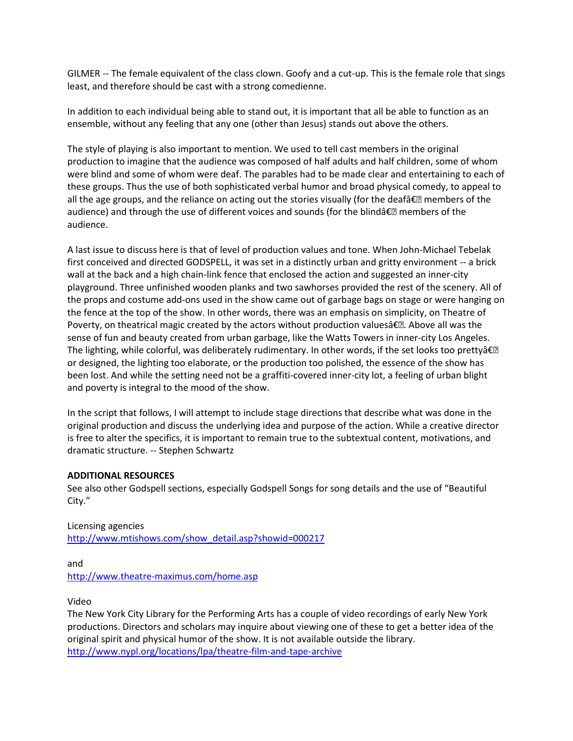GILMER -- The female equivalent of the class clown. Goofy and a cut-up. This is the female role that sings least, and therefore should be cast with a strong comedienne.

In addition to each individual being able to stand out, it is important that all be able to function as an ensemble, without any feeling that any one (other than Jesus) stands out above the others.

The style of playing is also important to mention. We used to tell cast members in the original production to imagine that the audience was composed of half adults and half children, some of whom were blind and some of whom were deaf. The parables had to be made clear and entertaining to each of these groups. Thus the use of both sophisticated verbal humor and broad physical comedy, to appeal to all the age groups, and the reliance on acting out the stories visually (for the deafâ€• members of the audience) and through the use of different voices and sounds (for the blindâ€• members of the audience.

A last issue to discuss here is that of level of production values and tone. When John-Michael Tebelak first conceived and directed GODSPELL, it was set in a distinctly urban and gritty environment -- a brick wall at the back and a high chain-link fence that enclosed the action and suggested an inner-city playground. Three unfinished wooden planks and two sawhorses provided the rest of the scenery. All of the props and costume add-ons used in the show came out of garbage bags on stage or were hanging on the fence at the top of the show. In other words, there was an emphasis on simplicity, on Theatre of Poverty, on theatrical magic created by the actors without production valuesâ€•. Above all was the sense of fun and beauty created from urban garbage, like the Watts Towers in inner-city Los Angeles. The lighting, while colorful, was deliberately rudimentary. In other words, if the set looks too pretty― or designed, the lighting too elaborate, or the production too polished, the essence of the show has been lost. And while the setting need not be a graffiti-covered inner-city lot, a feeling of urban blight and poverty is integral to the mood of the show.

In the script that follows, I will attempt to include stage directions that describe what was done in the original production and discuss the underlying idea and purpose of the action. While a creative director is free to alter the specifics, it is important to remain true to the subtextual content, motivations, and dramatic structure. -- Stephen Schwartz

### **ADDITIONAL RESOURCES**

See also other Godspell sections, especially Godspell Songs for song details and the use of "Beautiful City."

Licensing agencies [http://www.mtishows.com/show\\_detail.asp?showid=000217](http://www.mtishows.com/show_detail.asp?showid=000217)

and <http://www.theatre-maximus.com/home.asp>

Video

The New York City Library for the Performing Arts has a couple of video recordings of early New York productions. Directors and scholars may inquire about viewing one of these to get a better idea of the original spirit and physical humor of the show. It is not available outside the library. <http://www.nypl.org/locations/lpa/theatre-film-and-tape-archive>